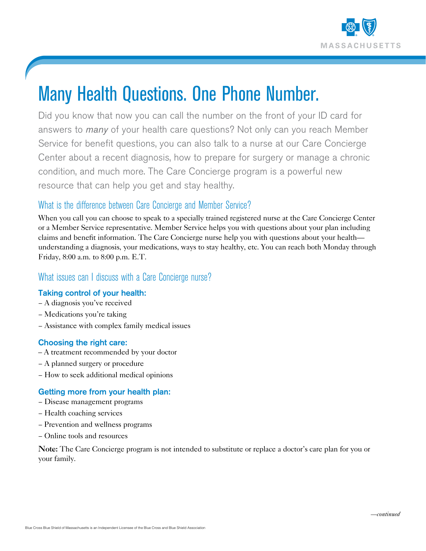

# Many Health Questions. One Phone Number.

Did you know that now you can call the number on the front of your ID card for answers to *many* of your health care questions? Not only can you reach Member Service for benefit questions, you can also talk to a nurse at our Care Concierge Center about a recent diagnosis, how to prepare for surgery or manage a chronic condition, and much more. The Care Concierge program is a powerful new resource that can help you get and stay healthy.

## What is the difference between Care Concierge and Member Service?

When you call you can choose to speak to a specially trained registered nurse at the Care Concierge Center or a Member Service representative. Member Service helps you with questions about your plan including claims and benefit information. The Care Concierge nurse help you with questions about your health understanding a diagnosis, your medications, ways to stay healthy, etc. You can reach both Monday through Friday, 8:00 a.m. to 8:00 p.m. E.T.

## What issues can I discuss with a Care Concierge nurse?

### Taking control of your health:

- − A diagnosis you've received
- − Medications you're taking
- − Assistance with complex family medical issues

### Choosing the right care:

- A treatment recommended by your doctor
- − A planned surgery or procedure
- − How to seek additional medical opinions

#### Getting more from your health plan:

- − Disease management programs
- − Health coaching services
- − Prevention and wellness programs
- − Online tools and resources

Note: The Care Concierge program is not intended to substitute or replace a doctor's care plan for you or your family.